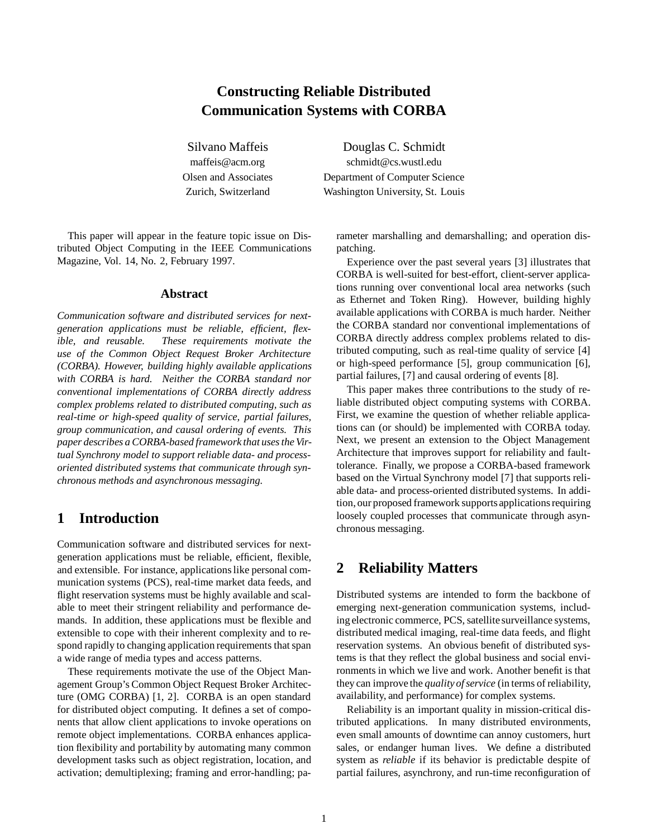# **Constructing Reliable Distributed Communication Systems with CORBA**

Silvano Maffeis Douglas C. Schmidt maffeis@acm.org schmidt@cs.wustl.edu Olsen and Associates Department of Computer Science Zurich, Switzerland Washington University, St. Louis

This paper will appear in the feature topic issue on Distributed Object Computing in the IEEE Communications Magazine, Vol. 14, No. 2, February 1997.

### **Abstract**

*Communication software and distributed services for nextgeneration applications must be reliable, efficient, flexible, and reusable. These requirements motivate the use of the Common Object Request Broker Architecture (CORBA). However, building highly available applications with CORBA is hard. Neither the CORBA standard nor conventional implementations of CORBA directly address complex problems related to distributed computing, such as real-time or high-speed quality of service, partial failures, group communication, and causal ordering of events. This paper describes a CORBA-based framework that uses the Virtual Synchrony model to support reliable data- and processoriented distributed systems that communicate through synchronous methods and asynchronous messaging.*

## **1 Introduction**

Communication software and distributed services for nextgeneration applications must be reliable, efficient, flexible, and extensible. For instance, applications like personal communication systems (PCS), real-time market data feeds, and flight reservation systems must be highly available and scalable to meet their stringent reliability and performance demands. In addition, these applications must be flexible and extensible to cope with their inherent complexity and to respond rapidly to changing application requirements that span a wide range of media types and access patterns.

These requirements motivate the use of the Object Management Group's Common Object Request Broker Architecture (OMG CORBA) [1, 2]. CORBA is an open standard for distributed object computing. It defines a set of components that allow client applications to invoke operations on remote object implementations. CORBA enhances application flexibility and portability by automating many common development tasks such as object registration, location, and activation; demultiplexing; framing and error-handling; parameter marshalling and demarshalling; and operation dispatching.

Experience over the past several years [3] illustrates that CORBA is well-suited for best-effort, client-server applications running over conventional local area networks (such as Ethernet and Token Ring). However, building highly available applications with CORBA is much harder. Neither the CORBA standard nor conventional implementations of CORBA directly address complex problems related to distributed computing, such as real-time quality of service [4] or high-speed performance [5], group communication [6], partial failures, [7] and causal ordering of events [8].

This paper makes three contributions to the study of reliable distributed object computing systems with CORBA. First, we examine the question of whether reliable applications can (or should) be implemented with CORBA today. Next, we present an extension to the Object Management Architecture that improves support for reliability and faulttolerance. Finally, we propose a CORBA-based framework based on the Virtual Synchrony model [7] that supports reliable data- and process-oriented distributed systems. In addition, our proposed framework supportsapplications requiring loosely coupled processes that communicate through asynchronous messaging.

### **2 Reliability Matters**

Distributed systems are intended to form the backbone of emerging next-generation communication systems, including electronic commerce, PCS, satellite surveillance systems, distributed medical imaging, real-time data feeds, and flight reservation systems. An obvious benefit of distributed systems is that they reflect the global business and social environments in which we live and work. Another benefit is that they can improve the *quality of service* (in terms of reliability, availability, and performance) for complex systems.

Reliability is an important quality in mission-critical distributed applications. In many distributed environments, even small amounts of downtime can annoy customers, hurt sales, or endanger human lives. We define a distributed system as *reliable* if its behavior is predictable despite of partial failures, asynchrony, and run-time reconfiguration of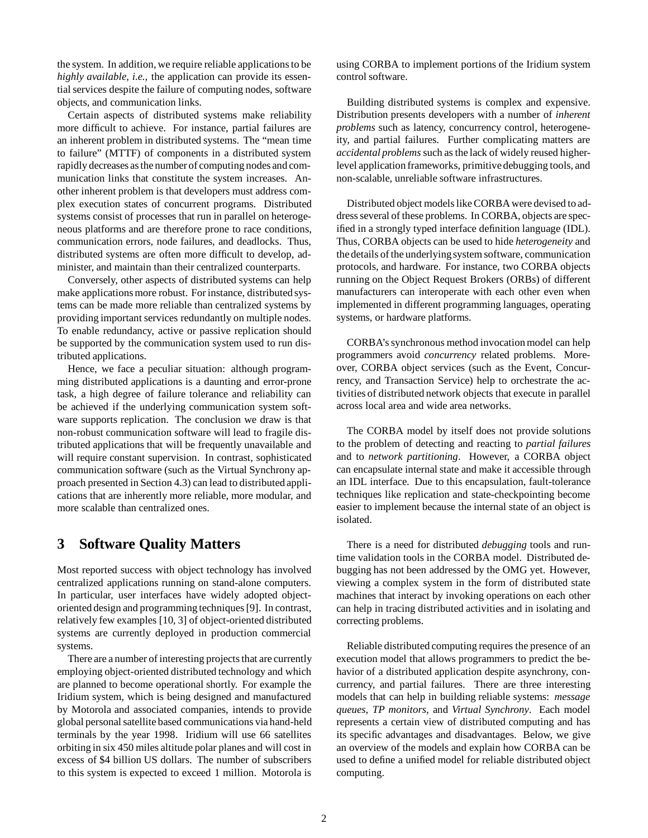the system. In addition, we require reliable applications to be *highly available*, *i.e.,* the application can provide its essential services despite the failure of computing nodes, software objects, and communication links.

Certain aspects of distributed systems make reliability more difficult to achieve. For instance, partial failures are an inherent problem in distributed systems. The "mean time to failure" (MTTF) of components in a distributed system rapidly decreases as the number of computing nodes and communication links that constitute the system increases. Another inherent problem is that developers must address complex execution states of concurrent programs. Distributed systems consist of processes that run in parallel on heterogeneous platforms and are therefore prone to race conditions, communication errors, node failures, and deadlocks. Thus, distributed systems are often more difficult to develop, administer, and maintain than their centralized counterparts.

Conversely, other aspects of distributed systems can help make applications more robust. For instance, distributed systems can be made more reliable than centralized systems by providing important services redundantly on multiple nodes. To enable redundancy, active or passive replication should be supported by the communication system used to run distributed applications.

Hence, we face a peculiar situation: although programming distributed applications is a daunting and error-prone task, a high degree of failure tolerance and reliability can be achieved if the underlying communication system software supports replication. The conclusion we draw is that non-robust communication software will lead to fragile distributed applications that will be frequently unavailable and will require constant supervision. In contrast, sophisticated communication software (such as the Virtual Synchrony approach presented in Section 4.3) can lead to distributed applications that are inherently more reliable, more modular, and more scalable than centralized ones.

## **3 Software Quality Matters**

Most reported success with object technology has involved centralized applications running on stand-alone computers. In particular, user interfaces have widely adopted objectoriented design and programming techniques [9]. In contrast, relatively few examples [10, 3] of object-oriented distributed systems are currently deployed in production commercial systems.

There are a number of interesting projects that are currently employing object-oriented distributed technology and which are planned to become operational shortly. For example the Iridium system, which is being designed and manufactured by Motorola and associated companies, intends to provide global personal satellite based communications via hand-held terminals by the year 1998. Iridium will use 66 satellites orbiting in six 450 miles altitude polar planes and will cost in excess of \$4 billion US dollars. The number of subscribers to this system is expected to exceed 1 million. Motorola is

using CORBA to implement portions of the Iridium system control software.

Building distributed systems is complex and expensive. Distribution presents developers with a number of *inherent problems* such as latency, concurrency control, heterogeneity, and partial failures. Further complicating matters are *accidental problems*such as the lack of widely reused higherlevel application frameworks, primitive debugging tools, and non-scalable, unreliable software infrastructures.

Distributed object models like CORBA were devised to address several of these problems. In CORBA, objects are specified in a strongly typed interface definition language (IDL). Thus, CORBA objects can be used to hide *heterogeneity* and the details of the underlyingsystem software, communication protocols, and hardware. For instance, two CORBA objects running on the Object Request Brokers (ORBs) of different manufacturers can interoperate with each other even when implemented in different programming languages, operating systems, or hardware platforms.

CORBA's synchronous method invocation model can help programmers avoid *concurrency* related problems. Moreover, CORBA object services (such as the Event, Concurrency, and Transaction Service) help to orchestrate the activities of distributed network objects that execute in parallel across local area and wide area networks.

The CORBA model by itself does not provide solutions to the problem of detecting and reacting to *partial failures* and to *network partitioning*. However, a CORBA object can encapsulate internal state and make it accessible through an IDL interface. Due to this encapsulation, fault-tolerance techniques like replication and state-checkpointing become easier to implement because the internal state of an object is isolated.

There is a need for distributed *debugging* tools and runtime validation tools in the CORBA model. Distributed debugging has not been addressed by the OMG yet. However, viewing a complex system in the form of distributed state machines that interact by invoking operations on each other can help in tracing distributed activities and in isolating and correcting problems.

Reliable distributed computing requires the presence of an execution model that allows programmers to predict the behavior of a distributed application despite asynchrony, concurrency, and partial failures. There are three interesting models that can help in building reliable systems: *message queues*, *TP monitors*, and *Virtual Synchrony*. Each model represents a certain view of distributed computing and has its specific advantages and disadvantages. Below, we give an overview of the models and explain how CORBA can be used to define a unified model for reliable distributed object computing.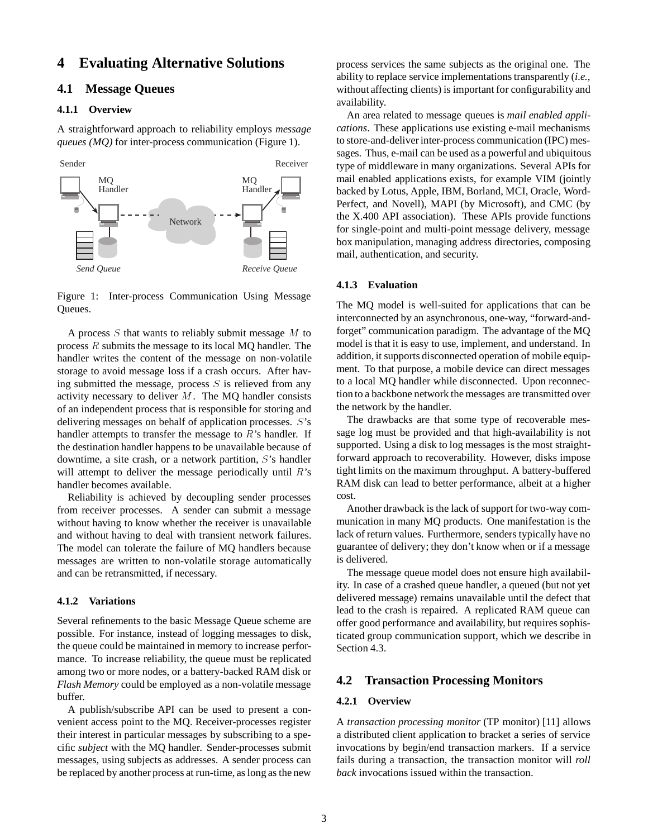### **4 Evaluating Alternative Solutions**

### **4.1 Message Queues**

### **4.1.1 Overview**

A straightforward approach to reliability employs *message queues (MQ)* for inter-process communication (Figure 1).



Figure 1: Inter-process Communication Using Message Queues.

A process  $S$  that wants to reliably submit message  $M$  to process <sup>R</sup> submits the message to its local MQ handler. The handler writes the content of the message on non-volatile storage to avoid message loss if a crash occurs. After having submitted the message, process  $S$  is relieved from any activity necessary to deliver  $M$ . The MQ handler consists of an independent process that is responsible for storing and delivering messages on behalf of application processes. <sup>S</sup>'s handler attempts to transfer the message to  $R$ 's handler. If the destination handler happens to be unavailable because of downtime, a site crash, or a network partition, <sup>S</sup>'s handler will attempt to deliver the message periodically until  $R$ 's handler becomes available.

Reliability is achieved by decoupling sender processes from receiver processes. A sender can submit a message without having to know whether the receiver is unavailable and without having to deal with transient network failures. The model can tolerate the failure of MQ handlers because messages are written to non-volatile storage automatically and can be retransmitted, if necessary.

#### **4.1.2 Variations**

Several refinements to the basic Message Queue scheme are possible. For instance, instead of logging messages to disk, the queue could be maintained in memory to increase performance. To increase reliability, the queue must be replicated among two or more nodes, or a battery-backed RAM disk or *Flash Memory* could be employed as a non-volatile message buffer.

A publish/subscribe API can be used to present a convenient access point to the MQ. Receiver-processes register their interest in particular messages by subscribing to a specific *subject* with the MQ handler. Sender-processes submit messages, using subjects as addresses. A sender process can be replaced by another process at run-time, as long as the new process services the same subjects as the original one. The ability to replace service implementations transparently (*i.e.,* without affecting clients) is important for configurability and availability.

An area related to message queues is *mail enabled applications*. These applications use existing e-mail mechanisms to store-and-deliver inter-process communication (IPC) messages. Thus, e-mail can be used as a powerful and ubiquitous type of middleware in many organizations. Several APIs for mail enabled applications exists, for example VIM (jointly backed by Lotus, Apple, IBM, Borland, MCI, Oracle, Word-Perfect, and Novell), MAPI (by Microsoft), and CMC (by the X.400 API association). These APIs provide functions for single-point and multi-point message delivery, message box manipulation, managing address directories, composing mail, authentication, and security.

### **4.1.3 Evaluation**

The MQ model is well-suited for applications that can be interconnected by an asynchronous, one-way, "forward-andforget" communication paradigm. The advantage of the MQ model is that it is easy to use, implement, and understand. In addition, it supports disconnected operation of mobile equipment. To that purpose, a mobile device can direct messages to a local MQ handler while disconnected. Upon reconnection to a backbone network the messages are transmitted over the network by the handler.

The drawbacks are that some type of recoverable message log must be provided and that high-availability is not supported. Using a disk to log messages is the most straightforward approach to recoverability. However, disks impose tight limits on the maximum throughput. A battery-buffered RAM disk can lead to better performance, albeit at a higher cost.

Another drawback is the lack of support for two-way communication in many MQ products. One manifestation is the lack of return values. Furthermore, senders typically have no guarantee of delivery; they don't know when or if a message is delivered.

The message queue model does not ensure high availability. In case of a crashed queue handler, a queued (but not yet delivered message) remains unavailable until the defect that lead to the crash is repaired. A replicated RAM queue can offer good performance and availability, but requires sophisticated group communication support, which we describe in Section 4.3.

### **4.2 Transaction Processing Monitors**

#### **4.2.1 Overview**

A *transaction processing monitor* (TP monitor) [11] allows a distributed client application to bracket a series of service invocations by begin/end transaction markers. If a service fails during a transaction, the transaction monitor will *roll back* invocations issued within the transaction.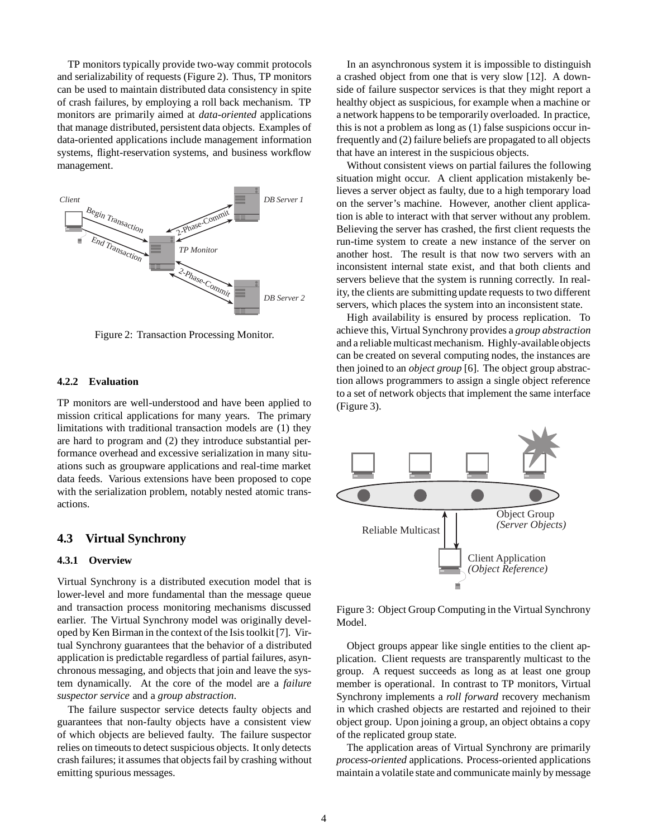TP monitors typically provide two-way commit protocols and serializability of requests (Figure 2). Thus, TP monitors can be used to maintain distributed data consistency in spite of crash failures, by employing a roll back mechanism. TP monitors are primarily aimed at *data-oriented* applications that manage distributed, persistent data objects. Examples of data-oriented applications include management information systems, flight-reservation systems, and business workflow management.



Figure 2: Transaction Processing Monitor.

### **4.2.2 Evaluation**

TP monitors are well-understood and have been applied to mission critical applications for many years. The primary limitations with traditional transaction models are (1) they are hard to program and (2) they introduce substantial performance overhead and excessive serialization in many situations such as groupware applications and real-time market data feeds. Various extensions have been proposed to cope with the serialization problem, notably nested atomic transactions.

### **4.3 Virtual Synchrony**

#### **4.3.1 Overview**

Virtual Synchrony is a distributed execution model that is lower-level and more fundamental than the message queue and transaction process monitoring mechanisms discussed earlier. The Virtual Synchrony model was originally developed by Ken Birman in the context of the Isis toolkit [7]. Virtual Synchrony guarantees that the behavior of a distributed application is predictable regardless of partial failures, asynchronous messaging, and objects that join and leave the system dynamically. At the core of the model are a *failure suspector service* and a *group abstraction*.

The failure suspector service detects faulty objects and guarantees that non-faulty objects have a consistent view of which objects are believed faulty. The failure suspector relies on timeouts to detect suspicious objects. It only detects crash failures; it assumes that objects fail by crashing without emitting spurious messages.

In an asynchronous system it is impossible to distinguish a crashed object from one that is very slow [12]. A downside of failure suspector services is that they might report a healthy object as suspicious, for example when a machine or a network happens to be temporarily overloaded. In practice, this is not a problem as long as (1) false suspicions occur infrequently and (2) failure beliefs are propagated to all objects that have an interest in the suspicious objects.

Without consistent views on partial failures the following situation might occur. A client application mistakenly believes a server object as faulty, due to a high temporary load on the server's machine. However, another client application is able to interact with that server without any problem. Believing the server has crashed, the first client requests the run-time system to create a new instance of the server on another host. The result is that now two servers with an inconsistent internal state exist, and that both clients and servers believe that the system is running correctly. In reality, the clients are submitting update requests to two different servers, which places the system into an inconsistent state.

High availability is ensured by process replication. To achieve this, Virtual Synchrony provides a *group abstraction* and a reliable multicast mechanism. Highly-availableobjects can be created on several computing nodes, the instances are then joined to an *object group* [6]. The object group abstraction allows programmers to assign a single object reference to a set of network objects that implement the same interface (Figure 3).



Figure 3: Object Group Computing in the Virtual Synchrony Model.

Object groups appear like single entities to the client application. Client requests are transparently multicast to the group. A request succeeds as long as at least one group member is operational. In contrast to TP monitors, Virtual Synchrony implements a *roll forward* recovery mechanism in which crashed objects are restarted and rejoined to their object group. Upon joining a group, an object obtains a copy of the replicated group state.

The application areas of Virtual Synchrony are primarily *process-oriented* applications. Process-oriented applications maintain a volatile state and communicate mainly by message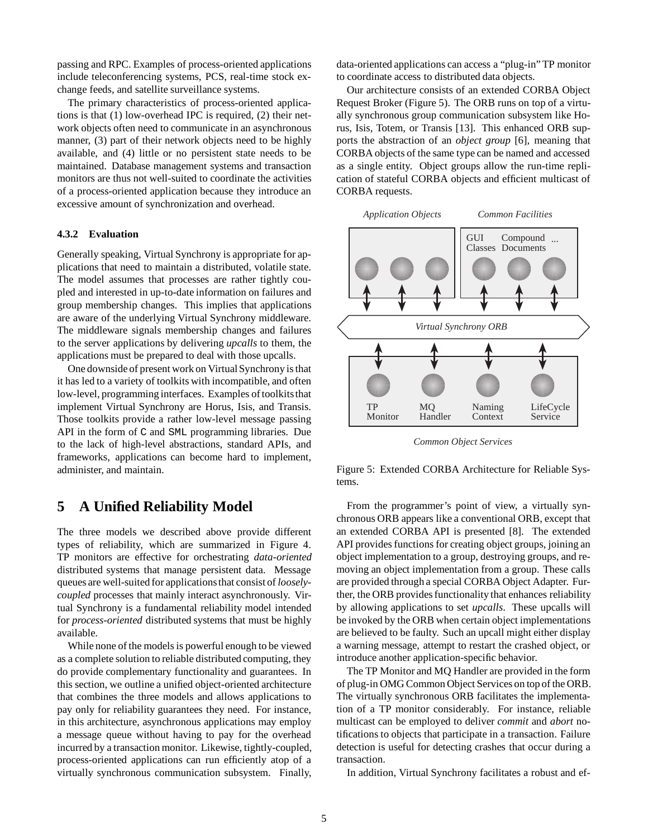passing and RPC. Examples of process-oriented applications include teleconferencing systems, PCS, real-time stock exchange feeds, and satellite surveillance systems.

The primary characteristics of process-oriented applications is that (1) low-overhead IPC is required, (2) their network objects often need to communicate in an asynchronous manner, (3) part of their network objects need to be highly available, and (4) little or no persistent state needs to be maintained. Database management systems and transaction monitors are thus not well-suited to coordinate the activities of a process-oriented application because they introduce an excessive amount of synchronization and overhead.

#### **4.3.2 Evaluation**

Generally speaking, Virtual Synchrony is appropriate for applications that need to maintain a distributed, volatile state. The model assumes that processes are rather tightly coupled and interested in up-to-date information on failures and group membership changes. This implies that applications are aware of the underlying Virtual Synchrony middleware. The middleware signals membership changes and failures to the server applications by delivering *upcalls* to them, the applications must be prepared to deal with those upcalls.

One downside of present work on Virtual Synchrony is that it has led to a variety of toolkits with incompatible, and often low-level, programming interfaces. Examples of toolkits that implement Virtual Synchrony are Horus, Isis, and Transis. Those toolkits provide a rather low-level message passing API in the form of C and SML programming libraries. Due to the lack of high-level abstractions, standard APIs, and frameworks, applications can become hard to implement, administer, and maintain.

## **5 A Unified Reliability Model**

The three models we described above provide different types of reliability, which are summarized in Figure 4. TP monitors are effective for orchestrating *data-oriented* distributed systems that manage persistent data. Message queues are well-suited for applicationsthat consist of *looselycoupled* processes that mainly interact asynchronously. Virtual Synchrony is a fundamental reliability model intended for *process-oriented* distributed systems that must be highly available.

While none of the models is powerful enough to be viewed as a complete solution to reliable distributed computing, they do provide complementary functionality and guarantees. In this section, we outline a unified object-oriented architecture that combines the three models and allows applications to pay only for reliability guarantees they need. For instance, in this architecture, asynchronous applications may employ a message queue without having to pay for the overhead incurred by a transaction monitor. Likewise, tightly-coupled, process-oriented applications can run efficiently atop of a virtually synchronous communication subsystem. Finally, data-oriented applications can access a "plug-in" TP monitor to coordinate access to distributed data objects.

Our architecture consists of an extended CORBA Object Request Broker (Figure 5). The ORB runs on top of a virtually synchronous group communication subsystem like Horus, Isis, Totem, or Transis [13]. This enhanced ORB supports the abstraction of an *object group* [6], meaning that CORBA objects of the same type can be named and accessed as a single entity. Object groups allow the run-time replication of stateful CORBA objects and efficient multicast of CORBA requests.



*Common Object Services*

Figure 5: Extended CORBA Architecture for Reliable Systems.

From the programmer's point of view, a virtually synchronous ORB appears like a conventional ORB, except that an extended CORBA API is presented [8]. The extended API provides functions for creating object groups, joining an object implementation to a group, destroying groups, and removing an object implementation from a group. These calls are provided through a special CORBA Object Adapter. Further, the ORB provides functionality that enhances reliability by allowing applications to set *upcalls*. These upcalls will be invoked by the ORB when certain object implementations are believed to be faulty. Such an upcall might either display a warning message, attempt to restart the crashed object, or introduce another application-specific behavior.

The TP Monitor and MQ Handler are provided in the form of plug-in OMG Common Object Services on top of the ORB. The virtually synchronous ORB facilitates the implementation of a TP monitor considerably. For instance, reliable multicast can be employed to deliver *commit* and *abort* notifications to objects that participate in a transaction. Failure detection is useful for detecting crashes that occur during a transaction.

In addition, Virtual Synchrony facilitates a robust and ef-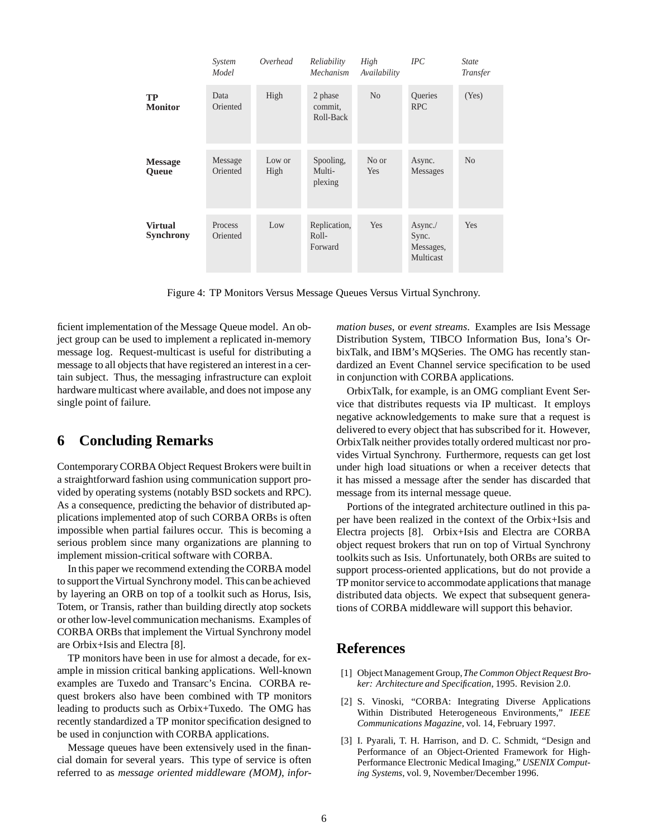|                                    | System<br>Model     | Overhead       | Reliability<br>Mechanism         | High<br>Availability | IPC                                        | <b>State</b><br>Transfer |
|------------------------------------|---------------------|----------------|----------------------------------|----------------------|--------------------------------------------|--------------------------|
| TP<br><b>Monitor</b>               | Data<br>Oriented    | High           | 2 phase<br>commit.<br>Roll-Back  | N <sub>0</sub>       | <b>Oueries</b><br><b>RPC</b>               | (Yes)                    |
| <b>Message</b><br>Queue            | Message<br>Oriented | Low or<br>High | Spooling,<br>Multi-<br>plexing   | No or<br>Yes         | Async.<br>Messages                         | N <sub>o</sub>           |
| <b>Virtual</b><br><b>Synchrony</b> | Process<br>Oriented | Low            | Replication,<br>Roll-<br>Forward | Yes                  | Async./<br>Sync.<br>Messages,<br>Multicast | Yes                      |

Figure 4: TP Monitors Versus Message Queues Versus Virtual Synchrony.

ficient implementation of the Message Queue model. An object group can be used to implement a replicated in-memory message log. Request-multicast is useful for distributing a message to all objects that have registered an interest in a certain subject. Thus, the messaging infrastructure can exploit hardware multicast where available, and does not impose any single point of failure.

# **6 Concluding Remarks**

Contemporary CORBA Object Request Brokers were built in a straightforward fashion using communication support provided by operating systems (notably BSD sockets and RPC). As a consequence, predicting the behavior of distributed applications implemented atop of such CORBA ORBs is often impossible when partial failures occur. This is becoming a serious problem since many organizations are planning to implement mission-critical software with CORBA.

In this paper we recommend extending the CORBA model to support the Virtual Synchrony model. This can be achieved by layering an ORB on top of a toolkit such as Horus, Isis, Totem, or Transis, rather than building directly atop sockets or other low-level communication mechanisms. Examples of CORBA ORBs that implement the Virtual Synchrony model are Orbix+Isis and Electra [8].

TP monitors have been in use for almost a decade, for example in mission critical banking applications. Well-known examples are Tuxedo and Transarc's Encina. CORBA request brokers also have been combined with TP monitors leading to products such as Orbix+Tuxedo. The OMG has recently standardized a TP monitor specification designed to be used in conjunction with CORBA applications.

Message queues have been extensively used in the financial domain for several years. This type of service is often referred to as *message oriented middleware (MOM)*, *infor-* *mation buses*, or *event streams*. Examples are Isis Message Distribution System, TIBCO Information Bus, Iona's OrbixTalk, and IBM's MQSeries. The OMG has recently standardized an Event Channel service specification to be used in conjunction with CORBA applications.

OrbixTalk, for example, is an OMG compliant Event Service that distributes requests via IP multicast. It employs negative acknowledgements to make sure that a request is delivered to every object that has subscribed for it. However, OrbixTalk neither provides totally ordered multicast nor provides Virtual Synchrony. Furthermore, requests can get lost under high load situations or when a receiver detects that it has missed a message after the sender has discarded that message from its internal message queue.

Portions of the integrated architecture outlined in this paper have been realized in the context of the Orbix+Isis and Electra projects [8]. Orbix+Isis and Electra are CORBA object request brokers that run on top of Virtual Synchrony toolkits such as Isis. Unfortunately, both ORBs are suited to support process-oriented applications, but do not provide a TP monitor service to accommodate applications that manage distributed data objects. We expect that subsequent generations of CORBA middleware will support this behavior.

# **References**

- [1] Object Management Group,*The Common Object Request Broker: Architecture and Specification*, 1995. Revision 2.0.
- [2] S. Vinoski, "CORBA: Integrating Diverse Applications Within Distributed Heterogeneous Environments," *IEEE Communications Magazine*, vol. 14, February 1997.
- [3] I. Pyarali, T. H. Harrison, and D. C. Schmidt, "Design and Performance of an Object-Oriented Framework for High-Performance Electronic Medical Imaging," *USENIX Computing Systems*, vol. 9, November/December 1996.